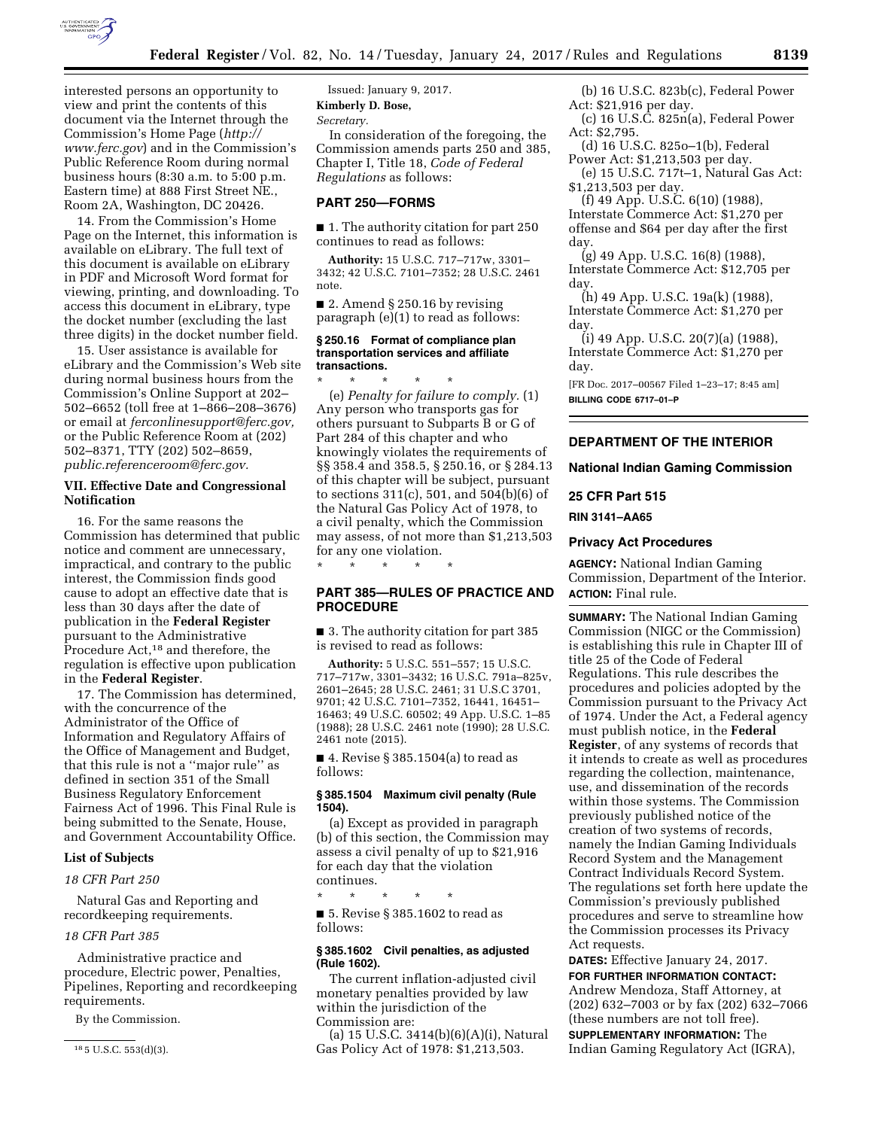

interested persons an opportunity to view and print the contents of this document via the Internet through the Commission's Home Page (*[http://](http://www.ferc.gov) [www.ferc.gov](http://www.ferc.gov)*) and in the Commission's Public Reference Room during normal business hours (8:30 a.m. to 5:00 p.m. Eastern time) at 888 First Street NE., Room 2A, Washington, DC 20426.

14. From the Commission's Home Page on the Internet, this information is available on eLibrary. The full text of this document is available on eLibrary in PDF and Microsoft Word format for viewing, printing, and downloading. To access this document in eLibrary, type the docket number (excluding the last three digits) in the docket number field.

15. User assistance is available for eLibrary and the Commission's Web site during normal business hours from the Commission's Online Support at 202– 502–6652 (toll free at 1–866–208–3676) or email at *[ferconlinesupport@ferc.gov,](mailto:ferconlinesupport@ferc.gov)*  or the Public Reference Room at (202) 502–8371, TTY (202) 502–8659, *[public.referenceroom@ferc.gov.](mailto:public.referenceroom@ferc.gov)* 

# **VII. Effective Date and Congressional Notification**

16. For the same reasons the Commission has determined that public notice and comment are unnecessary, impractical, and contrary to the public interest, the Commission finds good cause to adopt an effective date that is less than 30 days after the date of publication in the **Federal Register**  pursuant to the Administrative Procedure Act,<sup>18</sup> and therefore, the regulation is effective upon publication in the **Federal Register**.

17. The Commission has determined, with the concurrence of the Administrator of the Office of Information and Regulatory Affairs of the Office of Management and Budget, that this rule is not a ''major rule'' as defined in section 351 of the Small Business Regulatory Enforcement Fairness Act of 1996. This Final Rule is being submitted to the Senate, House, and Government Accountability Office.

# **List of Subjects**

*18 CFR Part 250* 

Natural Gas and Reporting and recordkeeping requirements.

### *18 CFR Part 385*

Administrative practice and procedure, Electric power, Penalties, Pipelines, Reporting and recordkeeping requirements.

By the Commission.

Issued: January 9, 2017. **Kimberly D. Bose,**  *Secretary.* 

In consideration of the foregoing, the Commission amends parts 250 and 385, Chapter I, Title 18, *Code of Federal Regulations* as follows:

# **PART 250—FORMS**

■ 1. The authority citation for part 250 continues to read as follows:

**Authority:** 15 U.S.C. 717–717w, 3301– 3432; 42 U.S.C. 7101–7352; 28 U.S.C. 2461 note.

 $\blacksquare$  2. Amend § 250.16 by revising paragraph (e)(1) to read as follows:

#### **§ 250.16 Format of compliance plan transportation services and affiliate transactions.**

\* \* \* \* \* (e) *Penalty for failure to comply.* (1) Any person who transports gas for others pursuant to Subparts B or G of Part 284 of this chapter and who knowingly violates the requirements of §§ 358.4 and 358.5, § 250.16, or § 284.13 of this chapter will be subject, pursuant to sections 311(c), 501, and 504(b)(6) of the Natural Gas Policy Act of 1978, to a civil penalty, which the Commission may assess, of not more than \$1,213,503 for any one violation.

# **PART 385—RULES OF PRACTICE AND PROCEDURE**

\* \* \* \* \*

■ 3. The authority citation for part 385 is revised to read as follows:

**Authority:** 5 U.S.C. 551–557; 15 U.S.C. 717–717w, 3301–3432; 16 U.S.C. 791a–825v, 2601–2645; 28 U.S.C. 2461; 31 U.S.C 3701, 9701; 42 U.S.C. 7101–7352, 16441, 16451– 16463; 49 U.S.C. 60502; 49 App. U.S.C. 1–85 (1988); 28 U.S.C. 2461 note (1990); 28 U.S.C. 2461 note (2015).

■ 4. Revise § 385.1504(a) to read as follows:

# **§ 385.1504 Maximum civil penalty (Rule 1504).**

(a) Except as provided in paragraph (b) of this section, the Commission may assess a civil penalty of up to \$21,916 for each day that the violation continues.

\* \* \* \* \*

■ 5. Revise § 385.1602 to read as follows:

## **§ 385.1602 Civil penalties, as adjusted (Rule 1602).**

The current inflation-adjusted civil monetary penalties provided by law within the jurisdiction of the Commission are:

(a) 15 U.S.C. 3414(b)(6)(A)(i), Natural Gas Policy Act of 1978: \$1,213,503.

(b) 16 U.S.C. 823b(c), Federal Power Act: \$21,916 per day.

(c) 16 U.S.C. 825n(a), Federal Power Act: \$2,795.

- (d) 16 U.S.C. 825o–1(b), Federal Power Act: \$1,213,503 per day.
- (e) 15 U.S.C. 717t–1, Natural Gas Act: \$1,213,503 per day.

(f) 49 App. U.S.C. 6(10) (1988), Interstate Commerce Act: \$1,270 per offense and \$64 per day after the first day.

(g) 49 App. U.S.C. 16(8) (1988), Interstate Commerce Act: \$12,705 per day.

(h) 49 App. U.S.C. 19a(k) (1988), Interstate Commerce Act: \$1,270 per day.

(i) 49 App. U.S.C. 20(7)(a) (1988), Interstate Commerce Act: \$1,270 per day.

[FR Doc. 2017–00567 Filed 1–23–17; 8:45 am] **BILLING CODE 6717–01–P** 

# **DEPARTMENT OF THE INTERIOR**

**National Indian Gaming Commission** 

# **25 CFR Part 515**

**RIN 3141–AA65** 

# **Privacy Act Procedures**

**AGENCY:** National Indian Gaming Commission, Department of the Interior. **ACTION:** Final rule.

**SUMMARY:** The National Indian Gaming Commission (NIGC or the Commission) is establishing this rule in Chapter III of title 25 of the Code of Federal Regulations. This rule describes the procedures and policies adopted by the Commission pursuant to the Privacy Act of 1974. Under the Act, a Federal agency must publish notice, in the **Federal Register**, of any systems of records that it intends to create as well as procedures regarding the collection, maintenance, use, and dissemination of the records within those systems. The Commission previously published notice of the creation of two systems of records, namely the Indian Gaming Individuals Record System and the Management Contract Individuals Record System. The regulations set forth here update the Commission's previously published procedures and serve to streamline how the Commission processes its Privacy Act requests.

**DATES:** Effective January 24, 2017. **FOR FURTHER INFORMATION CONTACT:**  Andrew Mendoza, Staff Attorney, at (202) 632–7003 or by fax (202) 632–7066 (these numbers are not toll free).

**SUPPLEMENTARY INFORMATION:** The Indian Gaming Regulatory Act (IGRA),

<sup>18</sup> 5 U.S.C. 553(d)(3).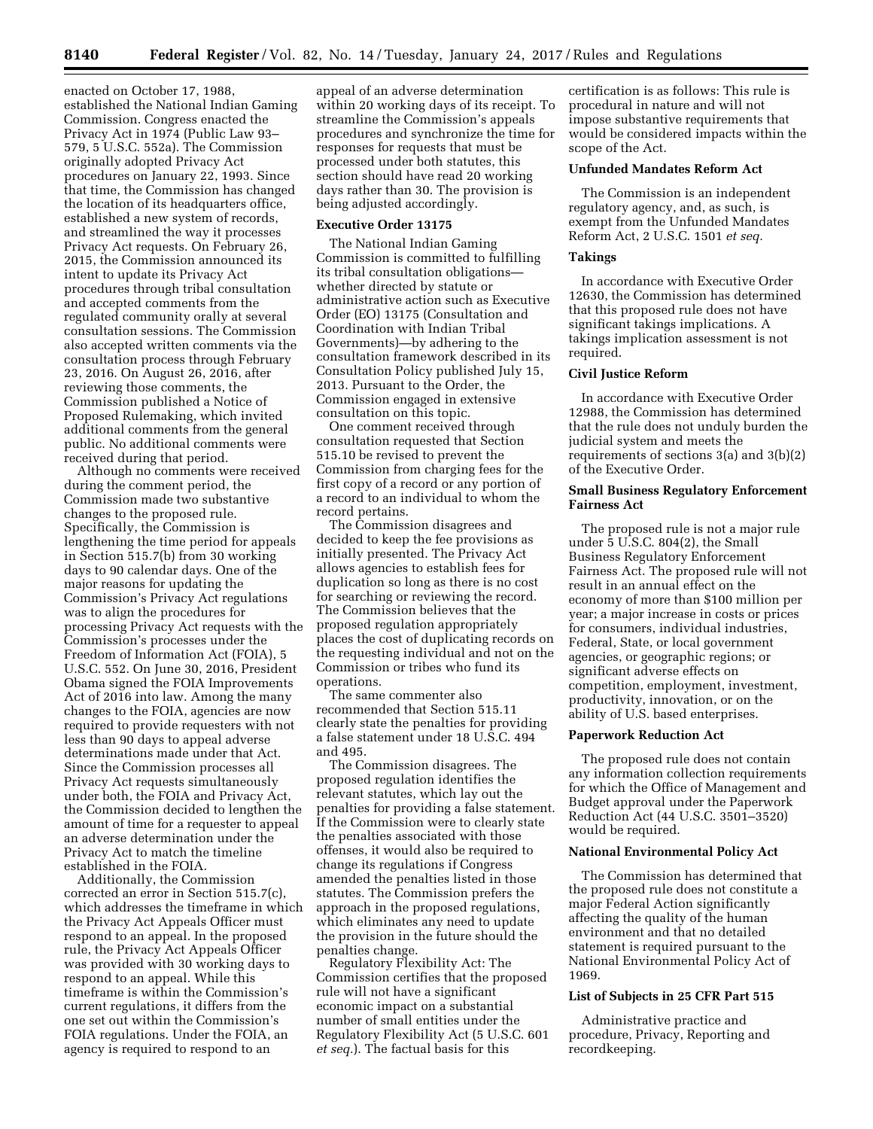enacted on October 17, 1988, established the National Indian Gaming Commission. Congress enacted the Privacy Act in 1974 (Public Law 93– 579, 5 U.S.C. 552a). The Commission originally adopted Privacy Act procedures on January 22, 1993. Since that time, the Commission has changed the location of its headquarters office, established a new system of records, and streamlined the way it processes Privacy Act requests. On February 26, 2015, the Commission announced its intent to update its Privacy Act procedures through tribal consultation and accepted comments from the regulated community orally at several consultation sessions. The Commission also accepted written comments via the consultation process through February 23, 2016. On August 26, 2016, after reviewing those comments, the Commission published a Notice of Proposed Rulemaking, which invited additional comments from the general public. No additional comments were received during that period.

Although no comments were received during the comment period, the Commission made two substantive changes to the proposed rule. Specifically, the Commission is lengthening the time period for appeals in Section 515.7(b) from 30 working days to 90 calendar days. One of the major reasons for updating the Commission's Privacy Act regulations was to align the procedures for processing Privacy Act requests with the Commission's processes under the Freedom of Information Act (FOIA), 5 U.S.C. 552. On June 30, 2016, President Obama signed the FOIA Improvements Act of 2016 into law. Among the many changes to the FOIA, agencies are now required to provide requesters with not less than 90 days to appeal adverse determinations made under that Act. Since the Commission processes all Privacy Act requests simultaneously under both, the FOIA and Privacy Act, the Commission decided to lengthen the amount of time for a requester to appeal an adverse determination under the Privacy Act to match the timeline established in the FOIA.

Additionally, the Commission corrected an error in Section 515.7(c), which addresses the timeframe in which the Privacy Act Appeals Officer must respond to an appeal. In the proposed rule, the Privacy Act Appeals Officer was provided with 30 working days to respond to an appeal. While this timeframe is within the Commission's current regulations, it differs from the one set out within the Commission's FOIA regulations. Under the FOIA, an agency is required to respond to an

appeal of an adverse determination within 20 working days of its receipt. To streamline the Commission's appeals procedures and synchronize the time for responses for requests that must be processed under both statutes, this section should have read 20 working days rather than 30. The provision is being adjusted accordingly.

### **Executive Order 13175**

The National Indian Gaming Commission is committed to fulfilling its tribal consultation obligations whether directed by statute or administrative action such as Executive Order (EO) 13175 (Consultation and Coordination with Indian Tribal Governments)—by adhering to the consultation framework described in its Consultation Policy published July 15, 2013. Pursuant to the Order, the Commission engaged in extensive consultation on this topic.

One comment received through consultation requested that Section 515.10 be revised to prevent the Commission from charging fees for the first copy of a record or any portion of a record to an individual to whom the record pertains.

The Commission disagrees and decided to keep the fee provisions as initially presented. The Privacy Act allows agencies to establish fees for duplication so long as there is no cost for searching or reviewing the record. The Commission believes that the proposed regulation appropriately places the cost of duplicating records on the requesting individual and not on the Commission or tribes who fund its operations.

The same commenter also recommended that Section 515.11 clearly state the penalties for providing a false statement under 18 U.S.C. 494 and 495.

The Commission disagrees. The proposed regulation identifies the relevant statutes, which lay out the penalties for providing a false statement. If the Commission were to clearly state the penalties associated with those offenses, it would also be required to change its regulations if Congress amended the penalties listed in those statutes. The Commission prefers the approach in the proposed regulations, which eliminates any need to update the provision in the future should the penalties change.

Regulatory Flexibility Act: The Commission certifies that the proposed rule will not have a significant economic impact on a substantial number of small entities under the Regulatory Flexibility Act (5 U.S.C. 601 *et seq.*). The factual basis for this

certification is as follows: This rule is procedural in nature and will not impose substantive requirements that would be considered impacts within the scope of the Act.

## **Unfunded Mandates Reform Act**

The Commission is an independent regulatory agency, and, as such, is exempt from the Unfunded Mandates Reform Act, 2 U.S.C. 1501 *et seq.* 

### **Takings**

In accordance with Executive Order 12630, the Commission has determined that this proposed rule does not have significant takings implications. A takings implication assessment is not required.

# **Civil Justice Reform**

In accordance with Executive Order 12988, the Commission has determined that the rule does not unduly burden the judicial system and meets the requirements of sections 3(a) and 3(b)(2) of the Executive Order.

# **Small Business Regulatory Enforcement Fairness Act**

The proposed rule is not a major rule under 5 U.S.C. 804(2), the Small Business Regulatory Enforcement Fairness Act. The proposed rule will not result in an annual effect on the economy of more than \$100 million per year; a major increase in costs or prices for consumers, individual industries, Federal, State, or local government agencies, or geographic regions; or significant adverse effects on competition, employment, investment, productivity, innovation, or on the ability of U.S. based enterprises.

### **Paperwork Reduction Act**

The proposed rule does not contain any information collection requirements for which the Office of Management and Budget approval under the Paperwork Reduction Act (44 U.S.C. 3501–3520) would be required.

## **National Environmental Policy Act**

The Commission has determined that the proposed rule does not constitute a major Federal Action significantly affecting the quality of the human environment and that no detailed statement is required pursuant to the National Environmental Policy Act of 1969.

# **List of Subjects in 25 CFR Part 515**

Administrative practice and procedure, Privacy, Reporting and recordkeeping.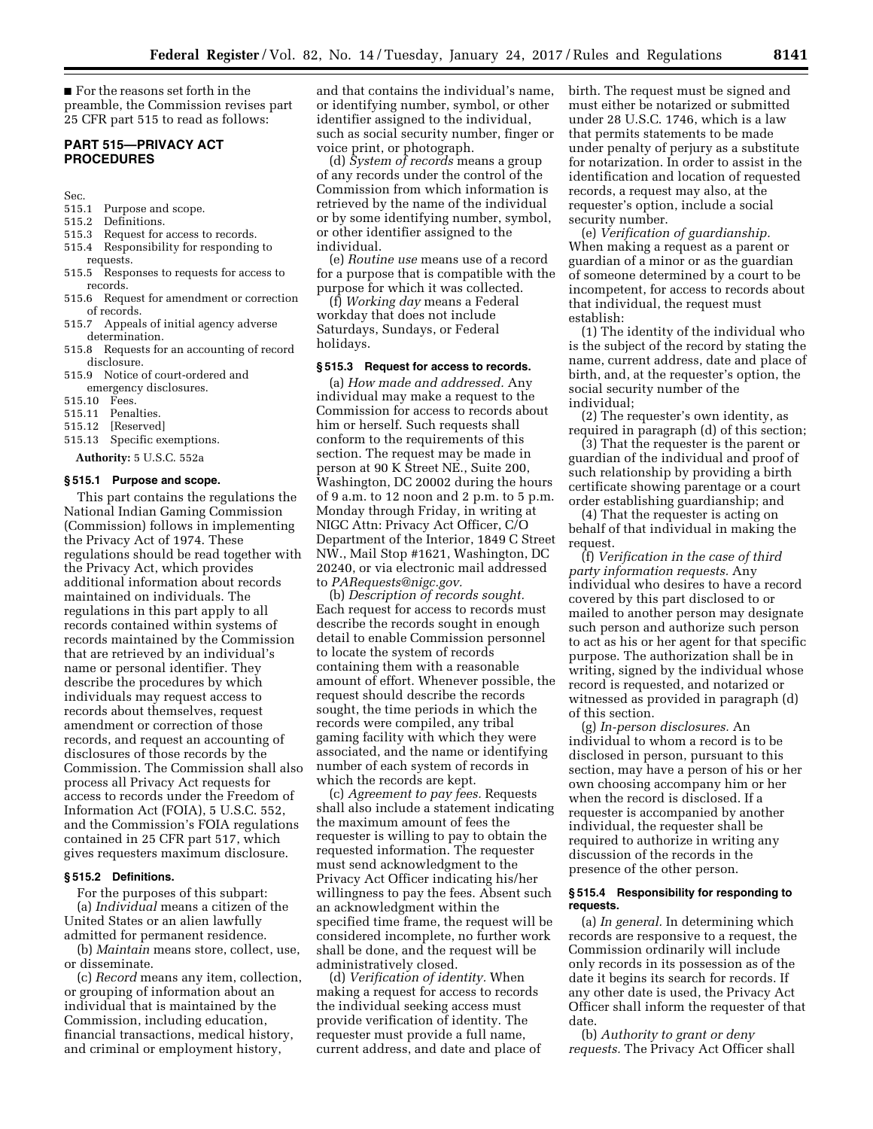■ For the reasons set forth in the preamble, the Commission revises part 25 CFR part 515 to read as follows:

# **PART 515—PRIVACY ACT PROCEDURES**

Sec.

- 515.1 Purpose and scope.
- 515.2 Definitions.
- 515.3 Request for access to records.
- 515.4 Responsibility for responding to requests.
- 515.5 Responses to requests for access to records.
- 515.6 Request for amendment or correction of records.
- 515.7 Appeals of initial agency adverse determination.
- 515.8 Requests for an accounting of record disclosure.
- 515.9 Notice of court-ordered and emergency disclosures.
- 
- 515.10 Fees. Penalties.
- 515.12 [Reserved]
- 515.13 Specific exemptions.
- **Authority:** 5 U.S.C. 552a

#### **§ 515.1 Purpose and scope.**

This part contains the regulations the National Indian Gaming Commission (Commission) follows in implementing the Privacy Act of 1974. These regulations should be read together with the Privacy Act, which provides additional information about records maintained on individuals. The regulations in this part apply to all records contained within systems of records maintained by the Commission that are retrieved by an individual's name or personal identifier. They describe the procedures by which individuals may request access to records about themselves, request amendment or correction of those records, and request an accounting of disclosures of those records by the Commission. The Commission shall also process all Privacy Act requests for access to records under the Freedom of Information Act (FOIA), 5 U.S.C. 552, and the Commission's FOIA regulations contained in 25 CFR part 517, which gives requesters maximum disclosure.

# **§ 515.2 Definitions.**

For the purposes of this subpart: (a) *Individual* means a citizen of the United States or an alien lawfully admitted for permanent residence.

(b) *Maintain* means store, collect, use, or disseminate.

(c) *Record* means any item, collection, or grouping of information about an individual that is maintained by the Commission, including education, financial transactions, medical history, and criminal or employment history,

and that contains the individual's name, or identifying number, symbol, or other identifier assigned to the individual, such as social security number, finger or voice print, or photograph.

(d) *System of records* means a group of any records under the control of the Commission from which information is retrieved by the name of the individual or by some identifying number, symbol, or other identifier assigned to the individual.

(e) *Routine use* means use of a record for a purpose that is compatible with the purpose for which it was collected.

(f) *Working day* means a Federal workday that does not include Saturdays, Sundays, or Federal holidays.

## **§ 515.3 Request for access to records.**

(a) *How made and addressed.* Any individual may make a request to the Commission for access to records about him or herself. Such requests shall conform to the requirements of this section. The request may be made in person at 90 K Street NE., Suite 200, Washington, DC 20002 during the hours of 9 a.m. to 12 noon and 2 p.m. to 5 p.m. Monday through Friday, in writing at NIGC Attn: Privacy Act Officer, C/O Department of the Interior, 1849 C Street NW., Mail Stop #1621, Washington, DC 20240, or via electronic mail addressed to *[PARequests@nigc.gov.](mailto:PARequests@nigc.gov)* 

(b) *Description of records sought.*  Each request for access to records must describe the records sought in enough detail to enable Commission personnel to locate the system of records containing them with a reasonable amount of effort. Whenever possible, the request should describe the records sought, the time periods in which the records were compiled, any tribal gaming facility with which they were associated, and the name or identifying number of each system of records in which the records are kept.

(c) *Agreement to pay fees.* Requests shall also include a statement indicating the maximum amount of fees the requester is willing to pay to obtain the requested information. The requester must send acknowledgment to the Privacy Act Officer indicating his/her willingness to pay the fees. Absent such an acknowledgment within the specified time frame, the request will be considered incomplete, no further work shall be done, and the request will be administratively closed.

(d) *Verification of identity.* When making a request for access to records the individual seeking access must provide verification of identity. The requester must provide a full name, current address, and date and place of birth. The request must be signed and must either be notarized or submitted under 28 U.S.C. 1746, which is a law that permits statements to be made under penalty of perjury as a substitute for notarization. In order to assist in the identification and location of requested records, a request may also, at the requester's option, include a social security number.

(e) *Verification of guardianship.*  When making a request as a parent or guardian of a minor or as the guardian of someone determined by a court to be incompetent, for access to records about that individual, the request must establish:

(1) The identity of the individual who is the subject of the record by stating the name, current address, date and place of birth, and, at the requester's option, the social security number of the individual;

(2) The requester's own identity, as required in paragraph (d) of this section;

(3) That the requester is the parent or guardian of the individual and proof of such relationship by providing a birth certificate showing parentage or a court order establishing guardianship; and

(4) That the requester is acting on behalf of that individual in making the request.

(f) *Verification in the case of third party information requests.* Any individual who desires to have a record covered by this part disclosed to or mailed to another person may designate such person and authorize such person to act as his or her agent for that specific purpose. The authorization shall be in writing, signed by the individual whose record is requested, and notarized or witnessed as provided in paragraph (d) of this section.

(g) *In-person disclosures.* An individual to whom a record is to be disclosed in person, pursuant to this section, may have a person of his or her own choosing accompany him or her when the record is disclosed. If a requester is accompanied by another individual, the requester shall be required to authorize in writing any discussion of the records in the presence of the other person.

### **§ 515.4 Responsibility for responding to requests.**

(a) *In general.* In determining which records are responsive to a request, the Commission ordinarily will include only records in its possession as of the date it begins its search for records. If any other date is used, the Privacy Act Officer shall inform the requester of that date.

(b) *Authority to grant or deny requests.* The Privacy Act Officer shall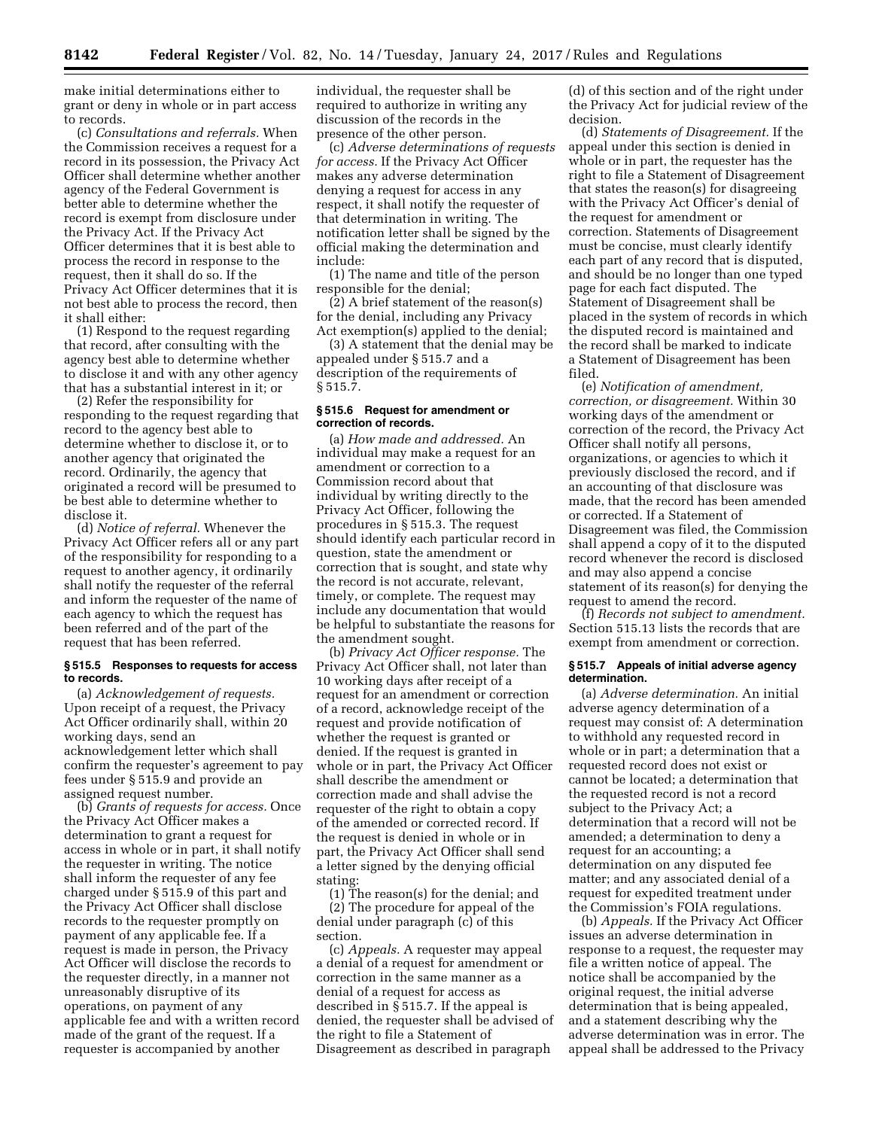make initial determinations either to grant or deny in whole or in part access to records.

(c) *Consultations and referrals.* When the Commission receives a request for a record in its possession, the Privacy Act Officer shall determine whether another agency of the Federal Government is better able to determine whether the record is exempt from disclosure under the Privacy Act. If the Privacy Act Officer determines that it is best able to process the record in response to the request, then it shall do so. If the Privacy Act Officer determines that it is not best able to process the record, then it shall either:

(1) Respond to the request regarding that record, after consulting with the agency best able to determine whether to disclose it and with any other agency that has a substantial interest in it; or

(2) Refer the responsibility for responding to the request regarding that record to the agency best able to determine whether to disclose it, or to another agency that originated the record. Ordinarily, the agency that originated a record will be presumed to be best able to determine whether to disclose it.

(d) *Notice of referral.* Whenever the Privacy Act Officer refers all or any part of the responsibility for responding to a request to another agency, it ordinarily shall notify the requester of the referral and inform the requester of the name of each agency to which the request has been referred and of the part of the request that has been referred.

### **§ 515.5 Responses to requests for access to records.**

(a) *Acknowledgement of requests.*  Upon receipt of a request, the Privacy Act Officer ordinarily shall, within 20 working days, send an acknowledgement letter which shall confirm the requester's agreement to pay fees under § 515.9 and provide an assigned request number.

(b) *Grants of requests for access.* Once the Privacy Act Officer makes a determination to grant a request for access in whole or in part, it shall notify the requester in writing. The notice shall inform the requester of any fee charged under § 515.9 of this part and the Privacy Act Officer shall disclose records to the requester promptly on payment of any applicable fee. If a request is made in person, the Privacy Act Officer will disclose the records to the requester directly, in a manner not unreasonably disruptive of its operations, on payment of any applicable fee and with a written record made of the grant of the request. If a requester is accompanied by another

individual, the requester shall be required to authorize in writing any discussion of the records in the presence of the other person.

(c) *Adverse determinations of requests for access.* If the Privacy Act Officer makes any adverse determination denying a request for access in any respect, it shall notify the requester of that determination in writing. The notification letter shall be signed by the official making the determination and include:

(1) The name and title of the person responsible for the denial;

(2) A brief statement of the reason(s) for the denial, including any Privacy Act exemption(s) applied to the denial;

(3) A statement that the denial may be appealed under § 515.7 and a description of the requirements of § 515.7.

## **§ 515.6 Request for amendment or correction of records.**

(a) *How made and addressed.* An individual may make a request for an amendment or correction to a Commission record about that individual by writing directly to the Privacy Act Officer, following the procedures in § 515.3. The request should identify each particular record in question, state the amendment or correction that is sought, and state why the record is not accurate, relevant, timely, or complete. The request may include any documentation that would be helpful to substantiate the reasons for the amendment sought.

(b) *Privacy Act Officer response.* The Privacy Act Officer shall, not later than 10 working days after receipt of a request for an amendment or correction of a record, acknowledge receipt of the request and provide notification of whether the request is granted or denied. If the request is granted in whole or in part, the Privacy Act Officer shall describe the amendment or correction made and shall advise the requester of the right to obtain a copy of the amended or corrected record. If the request is denied in whole or in part, the Privacy Act Officer shall send a letter signed by the denying official stating:

(1) The reason(s) for the denial; and (2) The procedure for appeal of the denial under paragraph (c) of this section.

(c) *Appeals.* A requester may appeal a denial of a request for amendment or correction in the same manner as a denial of a request for access as described in § 515.7. If the appeal is denied, the requester shall be advised of the right to file a Statement of Disagreement as described in paragraph

(d) of this section and of the right under the Privacy Act for judicial review of the decision.

(d) *Statements of Disagreement.* If the appeal under this section is denied in whole or in part, the requester has the right to file a Statement of Disagreement that states the reason(s) for disagreeing with the Privacy Act Officer's denial of the request for amendment or correction. Statements of Disagreement must be concise, must clearly identify each part of any record that is disputed, and should be no longer than one typed page for each fact disputed. The Statement of Disagreement shall be placed in the system of records in which the disputed record is maintained and the record shall be marked to indicate a Statement of Disagreement has been filed.

(e) *Notification of amendment, correction, or disagreement.* Within 30 working days of the amendment or correction of the record, the Privacy Act Officer shall notify all persons, organizations, or agencies to which it previously disclosed the record, and if an accounting of that disclosure was made, that the record has been amended or corrected. If a Statement of Disagreement was filed, the Commission shall append a copy of it to the disputed record whenever the record is disclosed and may also append a concise statement of its reason(s) for denying the request to amend the record.

(f) *Records not subject to amendment.*  Section 515.13 lists the records that are exempt from amendment or correction.

### **§ 515.7 Appeals of initial adverse agency determination.**

(a) *Adverse determination.* An initial adverse agency determination of a request may consist of: A determination to withhold any requested record in whole or in part; a determination that a requested record does not exist or cannot be located; a determination that the requested record is not a record subject to the Privacy Act; a determination that a record will not be amended; a determination to deny a request for an accounting; a determination on any disputed fee matter; and any associated denial of a request for expedited treatment under the Commission's FOIA regulations.

(b) *Appeals.* If the Privacy Act Officer issues an adverse determination in response to a request, the requester may file a written notice of appeal. The notice shall be accompanied by the original request, the initial adverse determination that is being appealed, and a statement describing why the adverse determination was in error. The appeal shall be addressed to the Privacy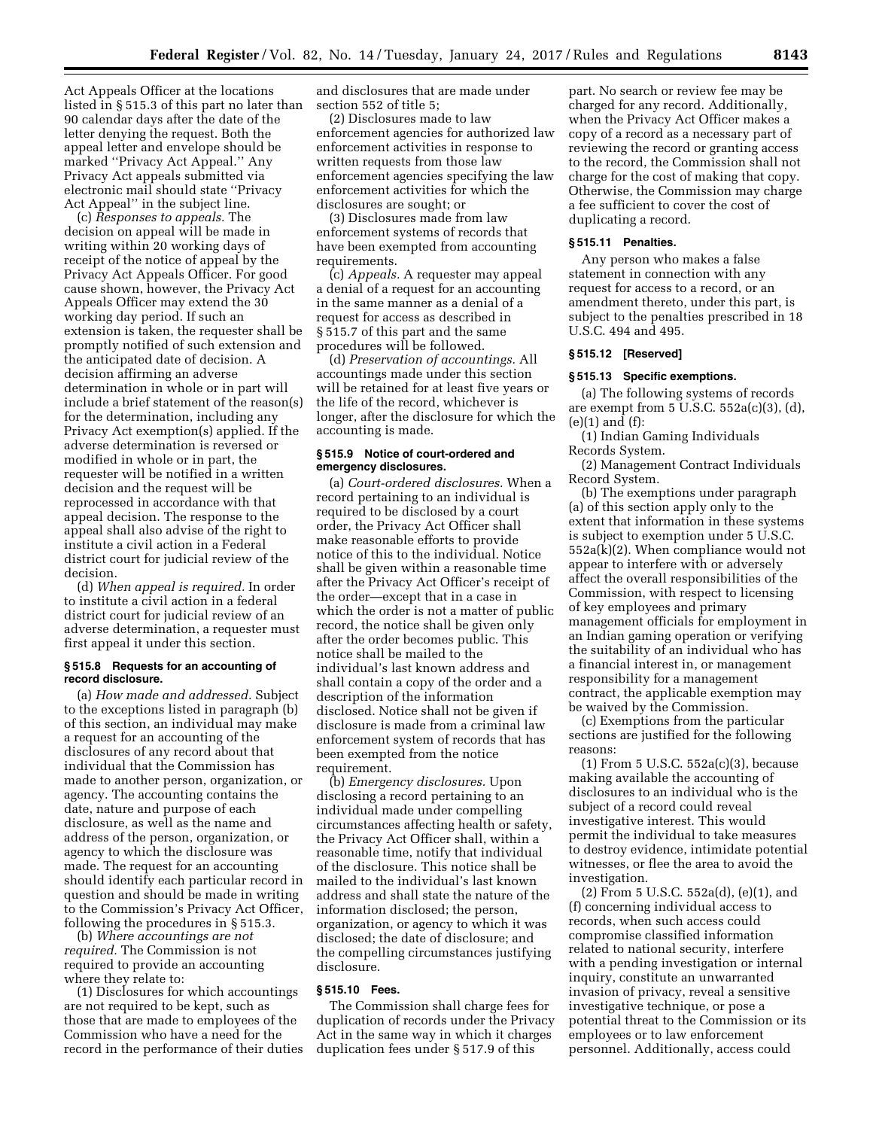Act Appeals Officer at the locations listed in § 515.3 of this part no later than 90 calendar days after the date of the letter denying the request. Both the appeal letter and envelope should be marked ''Privacy Act Appeal.'' Any Privacy Act appeals submitted via electronic mail should state ''Privacy Act Appeal'' in the subject line.

(c) *Responses to appeals.* The decision on appeal will be made in writing within 20 working days of receipt of the notice of appeal by the Privacy Act Appeals Officer. For good cause shown, however, the Privacy Act Appeals Officer may extend the 30 working day period. If such an extension is taken, the requester shall be promptly notified of such extension and the anticipated date of decision. A decision affirming an adverse determination in whole or in part will include a brief statement of the reason(s) for the determination, including any Privacy Act exemption(s) applied. If the adverse determination is reversed or modified in whole or in part, the requester will be notified in a written decision and the request will be reprocessed in accordance with that appeal decision. The response to the appeal shall also advise of the right to institute a civil action in a Federal district court for judicial review of the decision.

(d) *When appeal is required.* In order to institute a civil action in a federal district court for judicial review of an adverse determination, a requester must first appeal it under this section.

### **§ 515.8 Requests for an accounting of record disclosure.**

(a) *How made and addressed.* Subject to the exceptions listed in paragraph (b) of this section, an individual may make a request for an accounting of the disclosures of any record about that individual that the Commission has made to another person, organization, or agency. The accounting contains the date, nature and purpose of each disclosure, as well as the name and address of the person, organization, or agency to which the disclosure was made. The request for an accounting should identify each particular record in question and should be made in writing to the Commission's Privacy Act Officer, following the procedures in § 515.3.

(b) *Where accountings are not required.* The Commission is not required to provide an accounting where they relate to:

(1) Disclosures for which accountings are not required to be kept, such as those that are made to employees of the Commission who have a need for the record in the performance of their duties and disclosures that are made under section 552 of title 5;

(2) Disclosures made to law enforcement agencies for authorized law enforcement activities in response to written requests from those law enforcement agencies specifying the law enforcement activities for which the disclosures are sought; or

(3) Disclosures made from law enforcement systems of records that have been exempted from accounting requirements.

(c) *Appeals.* A requester may appeal a denial of a request for an accounting in the same manner as a denial of a request for access as described in § 515.7 of this part and the same procedures will be followed.

(d) *Preservation of accountings.* All accountings made under this section will be retained for at least five years or the life of the record, whichever is longer, after the disclosure for which the accounting is made.

# **§ 515.9 Notice of court-ordered and emergency disclosures.**

(a) *Court-ordered disclosures.* When a record pertaining to an individual is required to be disclosed by a court order, the Privacy Act Officer shall make reasonable efforts to provide notice of this to the individual. Notice shall be given within a reasonable time after the Privacy Act Officer's receipt of the order—except that in a case in which the order is not a matter of public record, the notice shall be given only after the order becomes public. This notice shall be mailed to the individual's last known address and shall contain a copy of the order and a description of the information disclosed. Notice shall not be given if disclosure is made from a criminal law enforcement system of records that has been exempted from the notice requirement.

(b) *Emergency disclosures.* Upon disclosing a record pertaining to an individual made under compelling circumstances affecting health or safety, the Privacy Act Officer shall, within a reasonable time, notify that individual of the disclosure. This notice shall be mailed to the individual's last known address and shall state the nature of the information disclosed; the person, organization, or agency to which it was disclosed; the date of disclosure; and the compelling circumstances justifying disclosure.

### **§ 515.10 Fees.**

The Commission shall charge fees for duplication of records under the Privacy Act in the same way in which it charges duplication fees under § 517.9 of this

part. No search or review fee may be charged for any record. Additionally, when the Privacy Act Officer makes a copy of a record as a necessary part of reviewing the record or granting access to the record, the Commission shall not charge for the cost of making that copy. Otherwise, the Commission may charge a fee sufficient to cover the cost of duplicating a record.

#### **§ 515.11 Penalties.**

Any person who makes a false statement in connection with any request for access to a record, or an amendment thereto, under this part, is subject to the penalties prescribed in 18 U.S.C. 494 and 495.

# **§ 515.12 [Reserved]**

# **§ 515.13 Specific exemptions.**

(a) The following systems of records are exempt from  $5 \overline{U}$ .S.C.  $552a(c)(3)$ , (d), (e)(1) and (f):

(1) Indian Gaming Individuals Records System.

(2) Management Contract Individuals Record System.

(b) The exemptions under paragraph (a) of this section apply only to the extent that information in these systems is subject to exemption under 5 U.S.C. 552a(k)(2). When compliance would not appear to interfere with or adversely affect the overall responsibilities of the Commission, with respect to licensing of key employees and primary management officials for employment in an Indian gaming operation or verifying the suitability of an individual who has a financial interest in, or management responsibility for a management contract, the applicable exemption may be waived by the Commission.

(c) Exemptions from the particular sections are justified for the following reasons:

(1) From 5 U.S.C. 552a(c)(3), because making available the accounting of disclosures to an individual who is the subject of a record could reveal investigative interest. This would permit the individual to take measures to destroy evidence, intimidate potential witnesses, or flee the area to avoid the investigation.

(2) From 5 U.S.C. 552a(d), (e)(1), and (f) concerning individual access to records, when such access could compromise classified information related to national security, interfere with a pending investigation or internal inquiry, constitute an unwarranted invasion of privacy, reveal a sensitive investigative technique, or pose a potential threat to the Commission or its employees or to law enforcement personnel. Additionally, access could